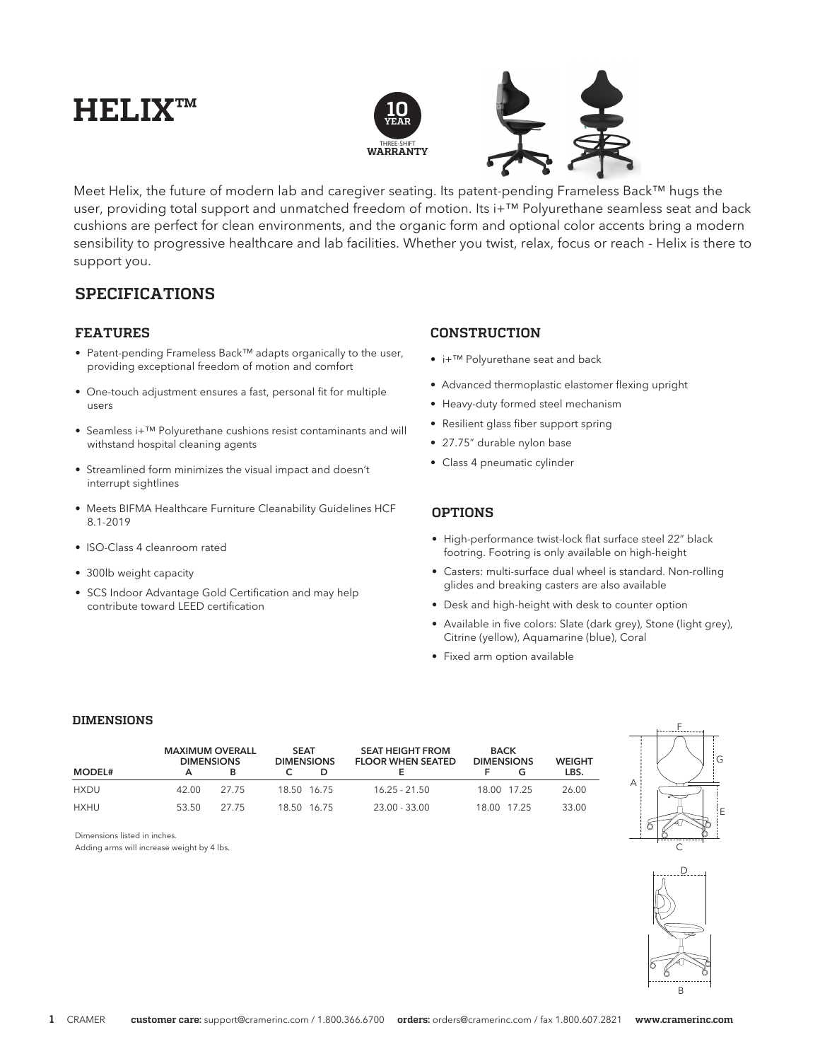# **HELIX™**



Meet Helix, the future of modern lab and caregiver seating. Its patent-pending Frameless Back™ hugs the user, providing total support and unmatched freedom of motion. Its i+™ Polyurethane seamless seat and back cushions are perfect for clean environments, and the organic form and optional color accents bring a modern sensibility to progressive healthcare and lab facilities. Whether you twist, relax, focus or reach - Helix is there to support you.

## **SPECIFICATIONS**

### **FEATURES**

- Patent-pending Frameless Back™ adapts organically to the user, providing exceptional freedom of motion and comfort
- One-touch adjustment ensures a fast, personal fit for multiple users
- Seamless i+™ Polyurethane cushions resist contaminants and will withstand hospital cleaning agents
- Streamlined form minimizes the visual impact and doesn't interrupt sightlines
- Meets BIFMA Healthcare Furniture Cleanability Guidelines HCF 8.1-2019
- ISO-Class 4 cleanroom rated
- 300lb weight capacity
- SCS Indoor Advantage Gold Certification and may help contribute toward LEED certification

## **CONSTRUCTION**

- i+™ Polyurethane seat and back
- Advanced thermoplastic elastomer flexing upright
- Heavy-duty formed steel mechanism
- Resilient glass fiber support spring
- 27.75" durable nylon base
- Class 4 pneumatic cylinder

## **OPTIONS**

- High-performance twist-lock flat surface steel 22" black footring. Footring is only available on high-height
- Casters: multi-surface dual wheel is standard. Non-rolling glides and breaking casters are also available
- Desk and high-height with desk to counter option
- Available in five colors: Slate (dark grey), Stone (light grey), Citrine (yellow), Aquamarine (blue), Coral
- Fixed arm option available

#### **DIMENSIONS**

|               | <b>MAXIMUM OVERALL</b><br><b>DIMENSIONS</b> |       | <b>SEAT</b> | <b>DIMENSIONS</b> | <b>SEAT HEIGHT FROM</b><br><b>FLOOR WHEN SEATED</b> | <b>BACK</b><br><b>DIMENSIONS</b> |             | <b>WEIGHT</b> |
|---------------|---------------------------------------------|-------|-------------|-------------------|-----------------------------------------------------|----------------------------------|-------------|---------------|
| <b>MODEL#</b> |                                             | в     |             |                   |                                                     |                                  |             | LBS.          |
| HXDU          | 42.00                                       | 27.75 |             | 18.50 16.75       | $16.25 - 21.50$                                     |                                  | 18.00 17.25 | 26.00         |
| HXHU          | 53.50                                       | 27.75 |             | 18.50 16.75       | $23.00 - 33.00$                                     |                                  | 18.00 17.25 | 33.00         |





Adding arms will increase weight by 4 lbs.

Dimensions listed in inches.